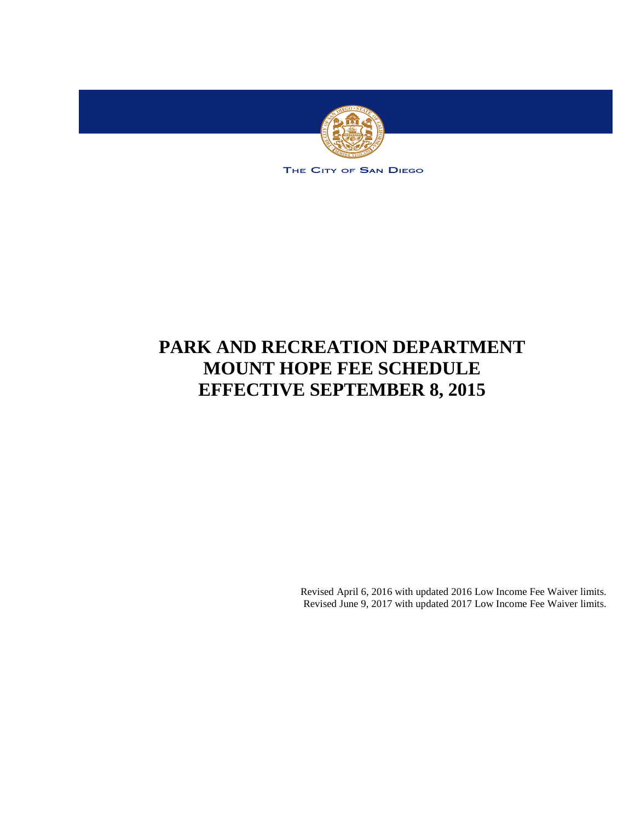

THE CITY OF SAN DIEGO

# **PARK AND RECREATION DEPARTMENT MOUNT HOPE FEE SCHEDULE EFFECTIVE SEPTEMBER 8, 2015**

Revised April 6, 2016 with updated 2016 Low Income Fee Waiver limits. Revised June 9, 2017 with updated 2017 Low Income Fee Waiver limits.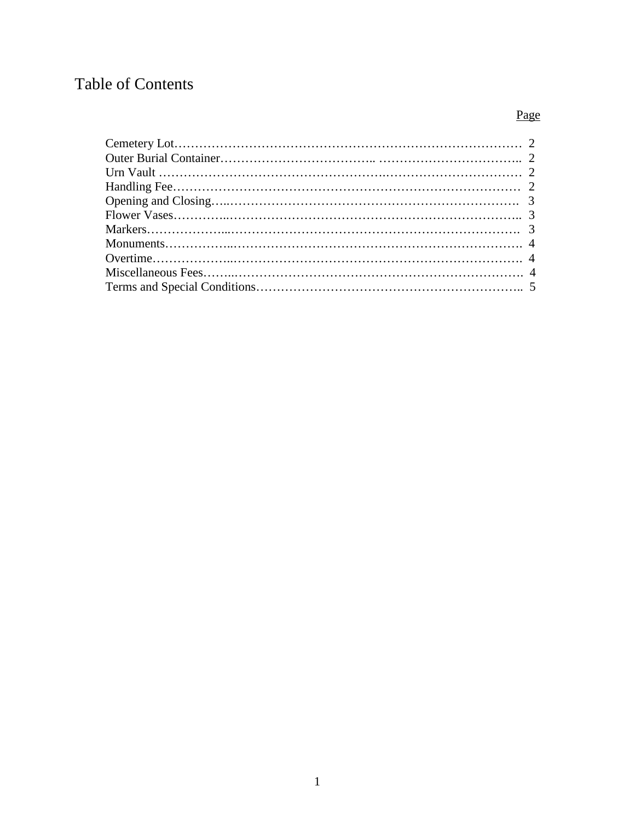## Table of Contents

## Page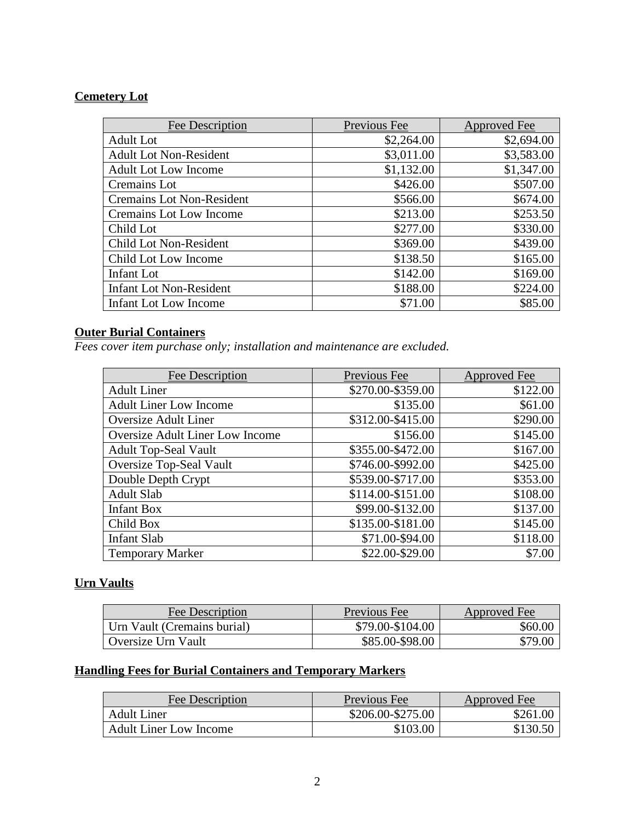### **Cemetery Lot**

| Fee Description                  | Previous Fee | Approved Fee |
|----------------------------------|--------------|--------------|
| <b>Adult Lot</b>                 | \$2,264.00   | \$2,694.00   |
| <b>Adult Lot Non-Resident</b>    | \$3,011.00   | \$3,583.00   |
| <b>Adult Lot Low Income</b>      | \$1,132.00   | \$1,347.00   |
| Cremains Lot                     | \$426.00     | \$507.00     |
| <b>Cremains Lot Non-Resident</b> | \$566.00     | \$674.00     |
| Cremains Lot Low Income          | \$213.00     | \$253.50     |
| Child Lot                        | \$277.00     | \$330.00     |
| Child Lot Non-Resident           | \$369.00     | \$439.00     |
| Child Lot Low Income             | \$138.50     | \$165.00     |
| <b>Infant</b> Lot                | \$142.00     | \$169.00     |
| <b>Infant Lot Non-Resident</b>   | \$188.00     | \$224.00     |
| Infant Lot Low Income            | \$71.00      | \$85.00      |

## **Outer Burial Containers**

*Fees cover item purchase only; installation and maintenance are excluded.*

| Fee Description                 | Previous Fee      | <b>Approved Fee</b> |
|---------------------------------|-------------------|---------------------|
| <b>Adult Liner</b>              | \$270.00-\$359.00 | \$122.00            |
| <b>Adult Liner Low Income</b>   | \$135.00          | \$61.00             |
| <b>Oversize Adult Liner</b>     | \$312.00-\$415.00 | \$290.00            |
| Oversize Adult Liner Low Income | \$156.00          | \$145.00            |
| <b>Adult Top-Seal Vault</b>     | \$355.00-\$472.00 | \$167.00            |
| <b>Oversize Top-Seal Vault</b>  | \$746.00-\$992.00 | \$425.00            |
| Double Depth Crypt              | \$539.00-\$717.00 | \$353.00            |
| <b>Adult Slab</b>               | \$114.00-\$151.00 | \$108.00            |
| <b>Infant Box</b>               | \$99.00-\$132.00  | \$137.00            |
| Child Box                       | \$135.00-\$181.00 | \$145.00            |
| <b>Infant Slab</b>              | \$71.00-\$94.00   | \$118.00            |
| <b>Temporary Marker</b>         | \$22.00-\$29.00   | \$7.00              |

## **Urn Vaults**

| Fee Description             | Previous Fee     | Approved Fee |
|-----------------------------|------------------|--------------|
| Urn Vault (Cremains burial) | \$79.00-\$104.00 | \$60.00      |
| Oversize Urn Vault          | \$85.00-\$98.00  | \$79.00      |

## **Handling Fees for Burial Containers and Temporary Markers**

| Fee Description               | Previous Fee      | Approved Fee |
|-------------------------------|-------------------|--------------|
| <b>Adult Liner</b>            | \$206.00-\$275.00 | \$261.00     |
| <b>Adult Liner Low Income</b> | \$103.00          | \$130.50     |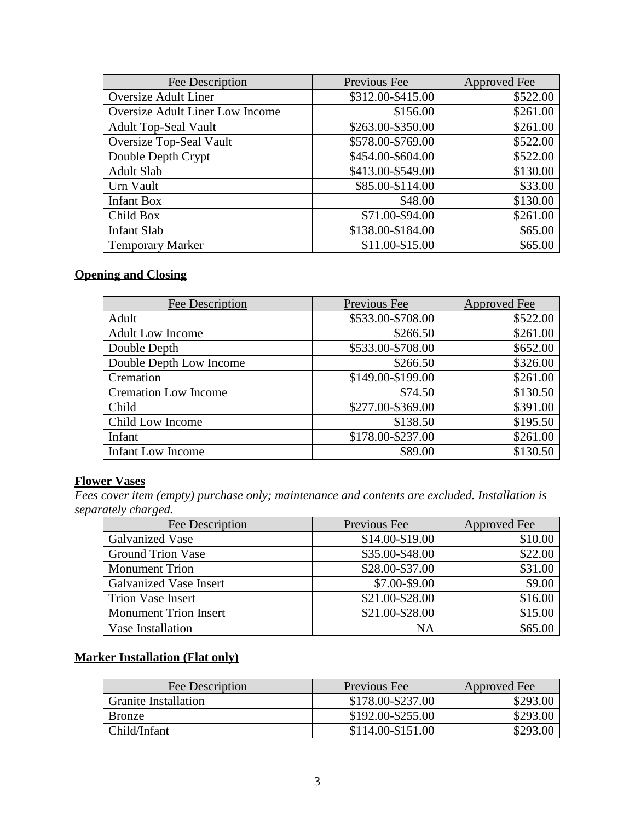| Fee Description                 | Previous Fee      | Approved Fee |
|---------------------------------|-------------------|--------------|
| Oversize Adult Liner            | \$312.00-\$415.00 | \$522.00     |
| Oversize Adult Liner Low Income | \$156.00          | \$261.00     |
| <b>Adult Top-Seal Vault</b>     | \$263.00-\$350.00 | \$261.00     |
| <b>Oversize Top-Seal Vault</b>  | \$578.00-\$769.00 | \$522.00     |
| Double Depth Crypt              | \$454.00-\$604.00 | \$522.00     |
| <b>Adult Slab</b>               | \$413.00-\$549.00 | \$130.00     |
| Urn Vault                       | \$85.00-\$114.00  | \$33.00      |
| <b>Infant Box</b>               | \$48.00           | \$130.00     |
| Child Box                       | \$71.00-\$94.00   | \$261.00     |
| <b>Infant Slab</b>              | \$138.00-\$184.00 | \$65.00      |
| <b>Temporary Marker</b>         | \$11.00-\$15.00   | \$65.00      |

## **Opening and Closing**

| Fee Description             | Previous Fee      | Approved Fee |
|-----------------------------|-------------------|--------------|
| Adult                       | \$533.00-\$708.00 | \$522.00     |
| <b>Adult Low Income</b>     | \$266.50          | \$261.00     |
| Double Depth                | \$533.00-\$708.00 | \$652.00     |
| Double Depth Low Income     | \$266.50          | \$326.00     |
| Cremation                   | \$149.00-\$199.00 | \$261.00     |
| <b>Cremation Low Income</b> | \$74.50           | \$130.50     |
| Child                       | \$277.00-\$369.00 | \$391.00     |
| Child Low Income            | \$138.50          | \$195.50     |
| Infant                      | \$178.00-\$237.00 | \$261.00     |
| <b>Infant Low Income</b>    | \$89.00           | \$130.50     |

#### **Flower Vases**

*Fees cover item (empty) purchase only; maintenance and contents are excluded. Installation is separately charged.*

| Fee Description              | Previous Fee    | Approved Fee |
|------------------------------|-----------------|--------------|
| Galvanized Vase              | \$14.00-\$19.00 | \$10.00      |
| <b>Ground Trion Vase</b>     | \$35.00-\$48.00 | \$22.00      |
| <b>Monument Trion</b>        | \$28.00-\$37.00 | \$31.00      |
| Galvanized Vase Insert       | \$7.00-\$9.00   | \$9.00       |
| <b>Trion Vase Insert</b>     | \$21.00-\$28.00 | \$16.00      |
| <b>Monument Trion Insert</b> | \$21.00-\$28.00 | \$15.00      |
| Vase Installation            | NA              | \$65.00      |

## **Marker Installation (Flat only)**

| Fee Description             | <b>Previous Fee</b> | Approved Fee |
|-----------------------------|---------------------|--------------|
| <b>Granite Installation</b> | \$178.00-\$237.00   | \$293.00     |
| <b>Bronze</b>               | \$192.00-\$255.00   | \$293.00     |
| Child/Infant                | \$114.00-\$151.00   | \$293.00     |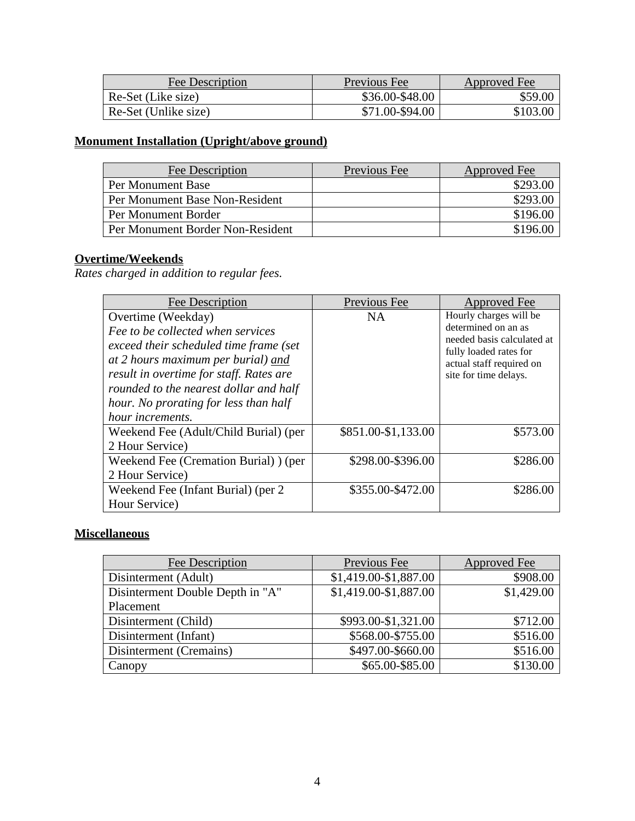| Fee Description      | Previous Fee    | Approved Fee |
|----------------------|-----------------|--------------|
| Re-Set (Like size)   | \$36.00-\$48.00 | \$59.00      |
| Re-Set (Unlike size) | \$71.00-\$94.00 | \$103.00     |

## **Monument Installation (Upright/above ground)**

| Fee Description                  | Previous Fee | Approved Fee |
|----------------------------------|--------------|--------------|
| Per Monument Base                |              | \$293.00     |
| Per Monument Base Non-Resident   |              | \$293.00     |
| Per Monument Border              |              | \$196.00     |
| Per Monument Border Non-Resident |              | \$196.00     |

### **Overtime/Weekends**

*Rates charged in addition to regular fees.*

| Fee Description                                                                                                                                                                                                                                                                                  | Previous Fee        | Approved Fee                                                                                                                                               |
|--------------------------------------------------------------------------------------------------------------------------------------------------------------------------------------------------------------------------------------------------------------------------------------------------|---------------------|------------------------------------------------------------------------------------------------------------------------------------------------------------|
| Overtime (Weekday)<br>Fee to be collected when services<br>exceed their scheduled time frame (set<br>at 2 hours maximum per burial) and<br>result in overtime for staff. Rates are<br>rounded to the nearest dollar and half<br>hour. No prorating for less than half<br><i>hour increments.</i> | <b>NA</b>           | Hourly charges will be<br>determined on an as<br>needed basis calculated at<br>fully loaded rates for<br>actual staff required on<br>site for time delays. |
| Weekend Fee (Adult/Child Burial) (per<br>2 Hour Service)                                                                                                                                                                                                                                         | \$851.00-\$1,133.00 | \$573.00                                                                                                                                                   |
| Weekend Fee (Cremation Burial) ) (per<br>2 Hour Service)                                                                                                                                                                                                                                         | \$298.00-\$396.00   | \$286.00                                                                                                                                                   |
| Weekend Fee (Infant Burial) (per 2<br>Hour Service)                                                                                                                                                                                                                                              | \$355.00-\$472.00   | \$286.00                                                                                                                                                   |

## **Miscellaneous**

| <b>Fee Description</b>           | Previous Fee          | Approved Fee |
|----------------------------------|-----------------------|--------------|
| Disinterment (Adult)             | \$1,419.00-\$1,887.00 | \$908.00     |
| Disinterment Double Depth in "A" | \$1,419.00-\$1,887.00 | \$1,429.00   |
| Placement                        |                       |              |
| Disinterment (Child)             | \$993.00-\$1,321.00   | \$712.00     |
| Disinterment (Infant)            | \$568.00-\$755.00     | \$516.00     |
| Disinterment (Cremains)          | \$497.00-\$660.00     | \$516.00     |
| Canopy                           | \$65.00-\$85.00       | \$130.00     |